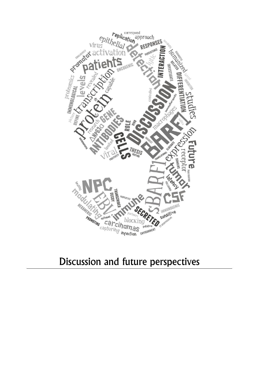

## Discussion and future perspectives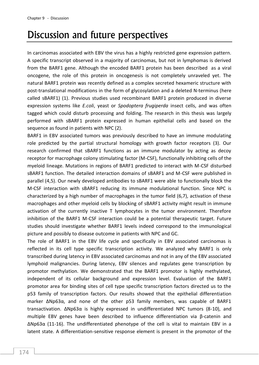## Discussion and future perspectives

In carcinomas associated with EBV the virus has a highly restricted gene expression pattern. A specific transcript observed in a majority of carcinomas, but not in lymphomas is derived from the BARF1 gene. Although the encoded BARF1 protein has been described as a viral oncogene, the role of this protein in oncogenesis is not completely unraveled yet. The natural BARF1 protein was recently defined as a complex secreted hexameric structure with post-translational modifications in the form of glycosylation and a deleted N-terminus (here called sBARF1) (1). Previous studies used recombinant BARF1 protein produced in diverse expression systems like *E.coli*, yeast or *Spodoptera frugiperda* insect cells, and was often tagged which could disturb processing and folding. The research in this thesis was largely performed with sBARF1 protein expressed in human epithelial cells and based on the sequence as found in patients with NPC (2).

BARF1 in EBV associated tumors was previously described to have an immune modulating role predicted by the partial structural homology with growth factor receptors (3). Our research confirmed that sBARF1 functions as an immune modulator by acting as decoy receptor for macrophage colony stimulating factor (M-CSF), functionally inhibiting cells of the myeloid lineage. Mutations in regions of BARF1 predicted to interact with M-CSF disturbed sBARF1 function. The detailed interaction domains of sBARF1 and M-CSF were published in parallel (4,5). Our newly developed antibodies to sBARF1 were able to functionally block the M-CSF interaction with sBARF1 reducing its immune modulational function. Since NPC is characterized by a high number of macrophages in the tumor field (6,7), activation of these macrophages and other myeloid cells by blocking of sBARF1 activity might result in immune activation of the currently inactive T lymphocytes in the tumor environment. Therefore inhibition of the BARF1 M-CSF interaction could be a potential therapeutic target. Future studies should investigate whether BARF1 levels indeed correspond to the immunological picture and possibly to disease outcome in patients with NPC and GC.

The role of BARF1 in the EBV life cycle and specifically in EBV associated carcinomas is reflected in its cell type specific transcription activity. We analyzed why BARF1 is only transcribed during latency in EBV associated carcinomas and not in any of the EBV associated lymphoid malignancies. During latency, EBV silences and regulates gene transcription by promotor methylation. We demonstrated that the BARF1 promotor is highly methylated, independent of its cellular background and expression level. Evaluation of the BARF1 promotor area for binding sites of cell type specific transcription factors directed us to the p53 family of transcription factors. Our results showed that the epithelial differentiation marker ΔNp63α, and none of the other p53 family members, was capable of BARF1 transactivation. ΔNp63α is highly expressed in undifferentiated NPC tumors (8-10), and multiple EBV genes have been described to influence differentiation via β-catenin and ΔNp63α (11-16). The undifferentiated phenotype of the cell is vital to maintain EBV in a latent state. A differentiation-sensitive response element is present in the promotor of the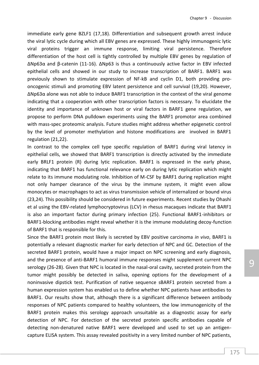immediate early gene BZLF1 (17,18). Differentiation and subsequent growth arrest induce the viral lytic cycle during which all EBV genes are expressed. These highly immunogenic lytic viral proteins trigger an immune response, limiting viral persistence. Therefore differentiation of the host cell is tightly controlled by multiple EBV genes by regulation of ΔNp63α and β-catenin (11-16). ΔNp63 is thus a continuously active factor in EBV infected epithelial cells and showed in our study to increase transcription of BARF1. BARF1 was previously shown to stimulate expression of NF-kB and cyclin D1, both providing prooncogenic stimuli and promoting EBV latent persistence and cell survival (19,20). However, ΔNp63α alone was not able to induce BARF1 transcription in the context of the viral genome indicating that a cooperation with other transcription factors is necessary. To elucidate the identity and importance of unknown host or viral factors in BARF1 gene regulation, we propose to perform DNA pulldown experiments using the BARF1 promotor area combined with mass-spec proteomic analysis. Future studies might address whether epigenetic control by the level of promoter methylation and histone modifications are involved in BARF1 regulation (21,22).

In contrast to the complex cell type specific regulation of BARF1 during viral latency in epithelial cells, we showed that BARF1 transcription is directly activated by the immediate early BRLF1 protein (R) during lytic replication. BARF1 is expressed in the early phase, indicating that BARF1 has functional relevance early on during lytic replication which might relate to its immune modulating role. Inhibition of M-CSF by BARF1 during replication might not only hamper clearance of the virus by the immune system, it might even allow monocytes or macrophages to act as virus transmission vehicle of internalized or bound virus (23,24). This possibility should be considered in future experiments. Recent studies by Ohashi et al using the EBV-related lymphocryptovirus (LCV) in rhesus macaques indicate that BARF1 is also an important factor during primary infection (25). Functional BARF1-inhibitors or BARF1-blocking antibodies might reveal whether it is the immune modulating decoy-function of BARF1 that is responsible for this.

Since the BARF1 protein most likely is secreted by EBV positive carcinoma *in vivo*, BARF1 is potentially a relevant diagnostic marker for early detection of NPC and GC. Detection of the secreted BARF1 protein, would have a major impact on NPC screening and early diagnosis, and the presence of anti-BARF1 humoral immune responses might supplement current NPC serology (26-28). Given that NPC is located in the nasal-oral cavity, secreted protein from the tumor might possibly be detected in saliva, opening options for the development of a noninvasive dipstick test. Purification of native sequence sBARF1 protein secreted from a human expression system has enabled us to define whether NPC patients have antibodies to BARF1. Our results show that, although there is a significant difference between antibody responses of NPC patients compared to healthy volunteers, the low immunogenicity of the BARF1 protein makes this serology approach unsuitable as a diagnostic assay for early detection of NPC. For detection of the secreted protein specific antibodies capable of detecting non-denatured native BARF1 were developed and used to set up an antigencapture ELISA system. This assay revealed positivity in a very limited number of NPC patients,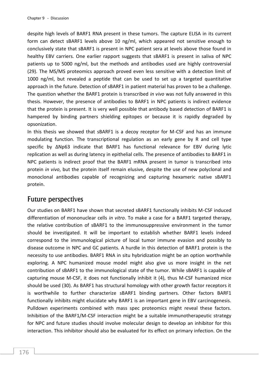despite high levels of BARF1 RNA present in these tumors. The capture ELISA in its current form can detect sBARF1 levels above 10 ng/ml, which appeared not sensitive enough to conclusively state that sBARF1 is present in NPC patient sera at levels above those found in healthy EBV carriers. One earlier rapport suggests that sBARF1 is present in saliva of NPC patients up to 5000 ng/ml, but the methods and antibodies used are highly controversial (29). The MS/MS proteomics approach proved even less sensitive with a detection limit of 1000 ng/ml, but revealed a peptide that can be used to set up a targeted quantitative approach in the future. Detection of sBARF1 in patient material has proven to be a challenge. The question whether the BARF1 protein is transcribed *in vivo* was not fully answered in this thesis. However, the presence of antibodies to BARF1 in NPC patients is indirect evidence that the protein is present. It is very well possible that antibody based detection of BARF1 is hampered by binding partners shielding epitopes or because it is rapidly degraded by opsonization.

In this thesis we showed that sBARF1 is a decoy receptor for M-CSF and has an immune modulating function. The transcriptional regulation as an early gene by R and cell type specific by ΔNp63 indicate that BARF1 has functional relevance for EBV during lytic replication as well as during latency in epithelial cells. The presence of antibodies to BARF1 in NPC patients is indirect proof that the BARF1 mRNA present in tumor is transcribed into protein *in vivo*, but the protein itself remain elusive, despite the use of new polyclonal and monoclonal antibodies capable of recognizing and capturing hexameric native sBARF1 protein.

## Future perspectives

Our studies on BARF1 have shown that secreted sBARF1 functionally inhibits M-CSF induced differentiation of mononuclear cells *in vitro*. To make a case for a BARF1 targeted therapy, the relative contribution of sBARF1 to the immunosuppressive environment in the tumor should be investigated. It will be important to establish whether BARF1 levels indeed correspond to the immunological picture of local tumor immune evasion and possibly to disease outcome in NPC and GC patients. A hurdle in this detection of BARF1 protein is the necessity to use antibodies. BARF1 RNA in situ hybridization might be an option worthwhile exploring. A NPC humanized mouse model might also give us more insight in the net contribution of sBARF1 to the immunological state of the tumor. While sBARF1 is capable of capturing mouse M-CSF, it does not functionally inhibit it (4), thus M-CSF humanized mice should be used (30). As BARF1 has structural homology with other growth factor receptors it is worthwhile to further characterize sBARF1 binding partners. Other factors BARF1 functionally inhibits might elucidate why BARF1 is an important gene in EBV carcinogenesis. Pulldown experiments combined with mass spec proteomics might reveal these factors. Inhibition of the BARF1/M-CSF interaction might be a suitable immunotherapeutic strategy for NPC and future studies should involve molecular design to develop an inhibitor for this interaction. This inhibitor should also be evaluated for its effect on primary infection. On the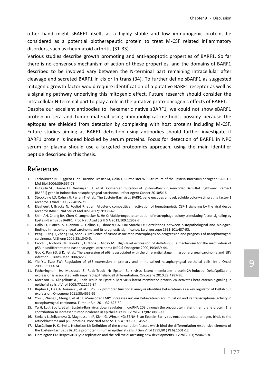other hand might sBARF1 itself, as a highly stable and low immunogenic protein, be considered as a potential biotherapeutic protein to treat M-CSF related inflammatory disorders, such as rheumatoid arthritis (31-33).

Various studies describe growth promoting and anti-apoptotic properties of BARF1. So far there is no consensus mechanism of action of these properties, and the domains of BARF1 described to be involved vary between the N-terminal part remaining intracellular after cleavage and secreted BARF1 in cis or in trans (34). To further define sBARF1 as suggested mitogenic growth factor would require identification of a putative BARF1 receptor as well as a signaling pathway underlying this mitogenic effect. Future research should consider the intracellular N-terminal part to play a role in the putative proto-oncogenic effects of BARF1.

Despite our excellent antibodies to hexameric native sBARF1, we could not show sBARF1 protein in sera and tumor material using immunological methods, possibly because the epitopes are shielded from detection by complexing with host proteins including M-CSF. Future studies aiming at BARF1 detection using antibodies should further investigate if BARF1 protein is indeed blocked by serum proteins. Focus for detection of BARF1 in NPC serum or plasma should use a targeted proteomics approach, using the main identifier peptide described in this thesis.

## References

- 1. Tarbouriech N, Ruggiero F, de Turenne-Tessier M, Ooka T, Burmeister WP: Structure of the Epstein-Barr virus oncogene BARF1. J Mol Biol 2006;359:667-78.
- 2. Hutajulu SH, Hoebe EK, Verkuijlen SA, et al.: Conserved mutation of Epstein-Barr virus-encoded BamHI-A Rightward Frame-1 (BARF1) gene in Indonesian nasopharyngeal carcinoma. Infect Agent Cancer 2010;5:16.
- 3. Strockbine LD, Cohen JI, Farrah T, et al.: The Epstein-Barr virus BARF1 gene encodes a novel, soluble colony-stimulating factor-1 receptor. J Virol 1998;72:4015-21.
- 4. Elegheert J, Bracke N, Pouliot P, et al.: Allosteric competitive inactivation of hematopoietic CSF-1 signaling by the viral decoy receptor BARF1. Nat Struct Mol Biol 2012;19:938-47.
- 5. Shim AH, Chang RA, Chen X, Longnecker R, He X: Multipronged attenuation of macrophage-colony stimulating factor signaling by Epstein-Barr virus BARF1. Proc Natl Acad Sci U S A 2012;109:12962-7.
- 6. Gallo O, Bianchi S, Giannini A, Gallina E, Libonati GA, Fini-Storchi O: Correlations between histopathological and biological findings in nasopharyngeal carcinoma and its prognostic significance. Laryngoscope 1991;101:487-93.
- 7. Peng J, Ding T, Zheng LM, Shao JY: Influence of tumor-associated macrophages on progression and prognosis of nasopharyngeal carcinoma. Ai Zheng 2006;25:1340-5.
- 8. Crook T, Nicholls JM, Brooks L, O'Nions J, Allday MJ: High level expression of deltaN-p63: a mechanism for the inactivation of p53 in undifferentiated nasopharyngeal carcinoma (NPC)? Oncogene 2000;19:3439-44.
- 9. Guo C, Pan ZG, Li DJ, et al.: The expression of p63 is associated with the differential stage in nasopharyngeal carcinoma and EBV infection. J Transl Med 2006;4:23.
- 10. Yip YL, Tsao SW: Regulation of p63 expression in primary and immortalized nasopharyngeal epithelial cells. Int J Oncol 2008;33:713-24.
- 11. Fotheringham JA, Mazzucca S, Raab-Traub N: Epstein-Barr virus latent membrane protein-2A-induced DeltaNp63alpha expression is associated with impaired epithelial-cell differentiation. Oncogene 2010;29:4287-96.
- 12. Morrison JA, Klingelhutz AJ, Raab-Traub N: Epstein-Barr virus latent membrane protein 2A activates beta-catenin signaling in epithelial cells. J Virol 2003;77:12276-84.
- 13. Ruptier C, De GA, Ansieau S, et al.: TP63 P2 promoter functional analysis identifies beta-catenin as a key regulator of DeltaNp63 expression. Oncogene 2011;30:4656-65.
- 14. You S, Zhang F, Meng F, et al.: EBV-encoded LMP1 increases nuclear beta-catenin accumulation and its transcriptional activity in nasopharyngeal carcinoma. Tumour Biol 2011;32:623-30.
- 15. Yu H, Lu J, Zuo L, et al.: Epstein-Barr virus downregulates microRNA 203 through the oncoprotein latent membrane protein 1: a contribution to increased tumor incidence in epithelial cells. J Virol 2012;86:3088-99.
- 16. Szekely L, Selivanova G, Magnusson KP, Klein G, Wiman KG: EBNA-5, an Epstein-Barr virus-encoded nuclear antigen, binds to the retinoblastoma and p53 proteins. Proc Natl Acad Sci U S A 1993;90:5455-9.
- 17. MacCallum P, Karimi L, Nicholson LJ: Definition of the transcription factors which bind the differentiation responsive element of the Epstein-Barr virus BZLF1 Z promoter in human epithelial cells. J Gen Virol 1999;80 ( Pt 6):1501-12.
- 18. Flemington EK: Herpesvirus lytic replication and the cell cycle: arresting new developments. J Virol 2001;75:4475-81.